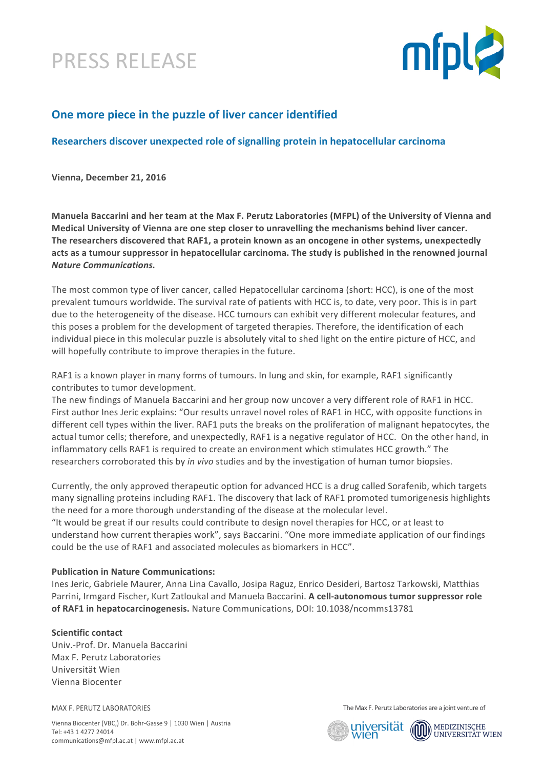



# **One more piece in the puzzle of liver cancer identified**

# **Researchers discover unexpected role of signalling protein in hepatocellular carcinoma**

Vienna, December 21, 2016

Manuela Baccarini and her team at the Max F. Perutz Laboratories (MFPL) of the University of Vienna and **Medical University of Vienna are one step closer to unravelling the mechanisms behind liver cancer.** The researchers discovered that RAF1, a protein known as an oncogene in other systems, unexpectedly acts as a tumour suppressor in hepatocellular carcinoma. The study is published in the renowned journal *Nature Communications.*

The most common type of liver cancer, called Hepatocellular carcinoma (short: HCC), is one of the most prevalent tumours worldwide. The survival rate of patients with HCC is, to date, very poor. This is in part due to the heterogeneity of the disease. HCC tumours can exhibit very different molecular features, and this poses a problem for the development of targeted therapies. Therefore, the identification of each individual piece in this molecular puzzle is absolutely vital to shed light on the entire picture of HCC, and will hopefully contribute to improve therapies in the future.

RAF1 is a known player in many forms of tumours. In lung and skin, for example, RAF1 significantly contributes to tumor development.

The new findings of Manuela Baccarini and her group now uncover a very different role of RAF1 in HCC. First author lnes Jeric explains: "Our results unravel novel roles of RAF1 in HCC, with opposite functions in different cell types within the liver. RAF1 puts the breaks on the proliferation of malignant hepatocytes, the actual tumor cells; therefore, and unexpectedly, RAF1 is a negative regulator of HCC. On the other hand, in inflammatory cells RAF1 is required to create an environment which stimulates HCC growth." The researchers corroborated this by *in vivo* studies and by the investigation of human tumor biopsies.

Currently, the only approved therapeutic option for advanced HCC is a drug called Sorafenib, which targets many signalling proteins including RAF1. The discovery that lack of RAF1 promoted tumorigenesis highlights the need for a more thorough understanding of the disease at the molecular level.

"It would be great if our results could contribute to design novel therapies for HCC, or at least to understand how current therapies work", says Baccarini. "One more immediate application of our findings could be the use of RAF1 and associated molecules as biomarkers in HCC".

## **Publication in Nature Communications:**

Ines Jeric, Gabriele Maurer, Anna Lina Cavallo, Josipa Raguz, Enrico Desideri, Bartosz Tarkowski, Matthias Parrini, Irmgard Fischer, Kurt Zatloukal and Manuela Baccarini. **A cell-autonomous tumor suppressor role** of RAF1 in hepatocarcinogenesis. Nature Communications, DOI: 10.1038/ncomms13781

#### **Scientific contact**

Univ.-Prof. Dr. Manuela Baccarini Max F. Perutz Laboratories Universität Wien Vienna Biocenter

MAX F. PERUTZ LABORATORIES

Vienna Biocenter (VBC,) Dr. Bohr-Gasse 9 | 1030 Wien | Austria Tel: +43 1 4277 24014 communications@mfpl.ac.at | www.mfpl.ac.at

The Max F. Perutz Laboratories are a joint venture of